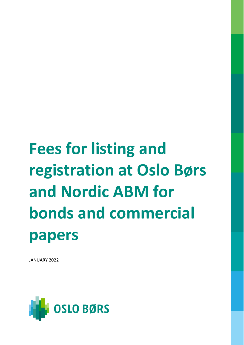# **Fees for listing and registration at Oslo Børs and Nordic ABM for bonds and commercial papers**

JANUARY 2022

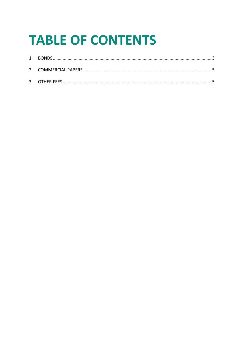## **TABLE OF CONTENTS**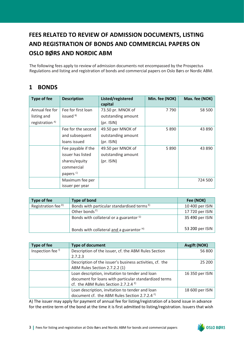### **FEES RELATED TO REVIEW OF ADMISSION DOCUMENTS, LISTING AND REGISTRATION OF BONDS AND COMMERCIAL PAPERS ON OSLO BØRS AND NORDIC ABM**

The following fees apply to review of admission documents not encompassed by the Prospectus Regulations and listing and registration of bonds and commercial papers on Oslo Børs or Nordic ABM.

#### <span id="page-2-0"></span>**1 BONDS**

| Type of fee                | <b>Description</b>   | Listed/registered<br>capital | Min. fee (NOK) | Max. fee (NOK) |
|----------------------------|----------------------|------------------------------|----------------|----------------|
| Annual fee for             | Fee for first loan   | 73.50 pr. MNOK of            | 7790           | 58 500         |
| listing and                | issued <sup>B)</sup> | outstanding amount           |                |                |
| registration <sup>A)</sup> |                      | $(pr.$ ISIN $)$              |                |                |
|                            | Fee for the second   | 49.50 per MNOK of            | 5 8 9 0        | 43 890         |
|                            | and subsequent       | outstanding amount           |                |                |
|                            | loans issued         | $(pr.$ ISIN $)$              |                |                |
|                            | Fee payable if the   | 49.50 per MNOK of            | 5 8 9 0        | 43 890         |
|                            | issuer has listed    | outstanding amount           |                |                |
|                            | shares/equity        | $(pr.$ ISIN $)$              |                |                |
|                            | commercial           |                              |                |                |
|                            | papers <sup>c)</sup> |                              |                |                |
|                            | Maximum fee per      |                              |                | 724 500        |
|                            | issuer per year      |                              |                |                |

| Type of fee                    | Type of bond                                           | Fee (NOK)       |
|--------------------------------|--------------------------------------------------------|-----------------|
| Registration fee <sup>D)</sup> | Bonds with particular standardised terms <sup>E)</sup> | 10 400 per ISIN |
|                                | Other bonds <sup>F)</sup>                              | 17 720 per ISIN |
|                                | Bonds with collateral or a guarantor <sup>G)</sup>     | 35 490 per ISIN |
|                                | Bonds with collateral and a guarantor H)               | 53 200 per ISIN |

| Type of fee                  | <b>Type of document</b>                                  | <b>Avgift (NOK)</b> |
|------------------------------|----------------------------------------------------------|---------------------|
| Inspection fee <sup>1)</sup> | Description of the issuer, cf. the ABM Rules Section     | 56 800              |
|                              | 2.7.2.3                                                  |                     |
|                              | Description of the issuer's business activities, cf. the | 25 200              |
|                              | ABM Rules Section 2.7.2.2 (1)                            |                     |
|                              | Loan description, invitation to tender and loan          | 16 350 per ISIN     |
|                              | document for loans with particular standardized terms    |                     |
|                              | cf. the ABM Rules Section 2.7.2.4 <sup>E)</sup>          |                     |
|                              | Loan description, invitation to tender and loan          | 18 600 per ISIN     |
|                              | document cf. the ABM Rules Section 2.7.2.4 F)            |                     |

A) The issuer may apply for payment of annual fee for listing/registration of a bond issue in advance for the entire term of the bond at the time it is first admitted to listing/registration. Issuers that wish

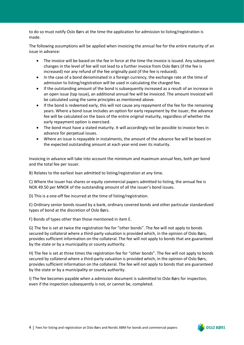to do so must notify Oslo Børs at the time the application for admission to listing/registration is made.

The following assumptions will be applied when invoicing the annual fee for the entire maturity of an issue in advance:

- The invoice will be based on the fee in force at the time the invoice is issued. Any subsequent changes in the level of fee will not lead to a further invoice from Oslo Børs (if the fee is increased) nor any refund of the fee originally paid (if the fee is reduced).
- In the case of a bond denominated in a foreign currency, the exchange rate at the time of admission to listing/registration will be used in calculating the charged fee.
- If the outstanding amount of the bond is subsequently increased as a result of an increase in an open issue (tap issue), an additional annual fee will be invoiced. The amount invoiced will be calculated using the same principles as mentioned above.
- If the bond is redeemed early, this will not cause any repayment of the fee for the remaining years. Where a bond issue includes an option for early repayment by the issuer, the advance fee will be calculated on the basis of the entire original maturity, regardless of whether the early repayment option is exercised.
- The bond must have a stated maturity. It will accordingly not be possible to invoice fees in advance for perpetual issues.
- Where an issue is repayable in instalments, the amount of the advance fee will be based on the expected outstanding amount at each year-end over its maturity.

Invoicing in advance will take into account the minimum and maximum annual fees, both per bond and the total fee per issuer.

B) Relates to the earliest loan admitted to listing/registration at any time.

C) Where the issuer has shares or equity commercial papers admitted to listing, the annual fee is NOK 49.50 per MNOK of the outstanding amount of all the issuer's bond issues.

D) This is a one-off fee incurred at the time of listing/registration.

E) Ordinary senior bonds issued by a bank, ordinary covered bonds and other particular standardized types of bond at the discretion of Oslo Børs.

F) Bonds of types other than those mentioned in item E.

G) The fee is set at twice the registration fee for "other bonds". The fee will not apply to bonds secured by collateral where a third-party valuation is provided which, in the opinion of Oslo Børs, provides sufficient information on the collateral. The fee will not apply to bonds that are guaranteed by the state or by a municipality or county authority.

H) The fee is set at three times the registration fee for "other bonds". The fee will not apply to bonds secured by collateral where a third-party valuation is provided which, in the opinion of Oslo Børs, provides sufficient information on the collateral. The fee will not apply to bonds that are guaranteed by the state or by a municipality or county authority.

I) The fee becomes payable when a admission document is submitted to Oslo Børs for inspection, even if the inspection subsequently is not, or cannot be, completed.

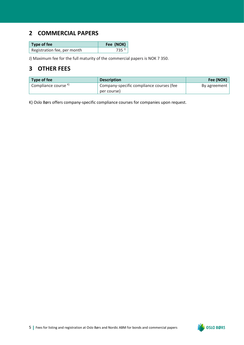#### <span id="page-4-0"></span>**2 COMMERCIAL PAPERS**

| $\vert$ Type of fee         | Fee (NOK)           |
|-----------------------------|---------------------|
| Registration fee, per month | $735$ <sup>J)</sup> |

J) Maximum fee for the full maturity of the commercial papers is NOK 7 350.

#### <span id="page-4-1"></span>**3 OTHER FEES**

| Type of fee                     | <b>Description</b>                       | Fee (NOK)    |
|---------------------------------|------------------------------------------|--------------|
| Compliance course <sup>k)</sup> | Company-specific compliance courses (fee | By agreement |
|                                 | per course)                              |              |

K) Oslo Børs offers company-specific compliance courses for companies upon request.